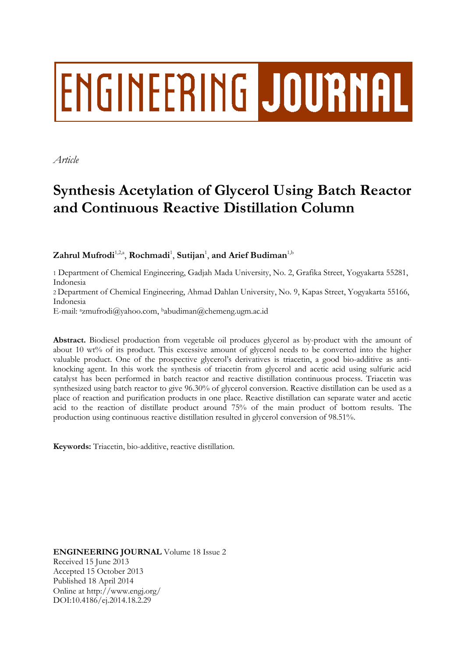# ENGINEERING JOURNAL

*Article*

# **Synthesis Acetylation of Glycerol Using Batch Reactor and Continuous Reactive Distillation Column**

 $\mathbf{Z}$ ahrul Mufrodi<sup>1,2,a</sup>, Rochmadi<sup>1</sup>, Sutijan<sup>1</sup>, and Arief Budiman<sup>1,b</sup>

1 Department of Chemical Engineering, Gadjah Mada University, No. 2, Grafika Street, Yogyakarta 55281, Indonesia

2 Department of Chemical Engineering, Ahmad Dahlan University, No. 9, Kapas Street, Yogyakarta 55166, Indonesia

E-mail: azmufrodi@yahoo.com, <sup>b</sup>abudiman@chemeng.ugm.ac.id

**Abstract.** Biodiesel production from vegetable oil produces glycerol as by-product with the amount of about 10 wt% of its product. This excessive amount of glycerol needs to be converted into the higher valuable product. One of the prospective glycerol's derivatives is triacetin, a good bio-additive as antiknocking agent. In this work the synthesis of triacetin from glycerol and acetic acid using sulfuric acid catalyst has been performed in batch reactor and reactive distillation continuous process. Triacetin was synthesized using batch reactor to give 96.30% of glycerol conversion. Reactive distillation can be used as a place of reaction and purification products in one place. Reactive distillation can separate water and acetic acid to the reaction of distillate product around 75% of the main product of bottom results. The production using continuous reactive distillation resulted in glycerol conversion of 98.51%.

**Keywords:** Triacetin, bio-additive, reactive distillation.

**ENGINEERING JOURNAL** Volume 18 Issue 2 Received 15 June 2013 Accepted 15 October 2013 Published 18 April 2014 Online at http://www.engj.org/ DOI:10.4186/ej.2014.18.2.29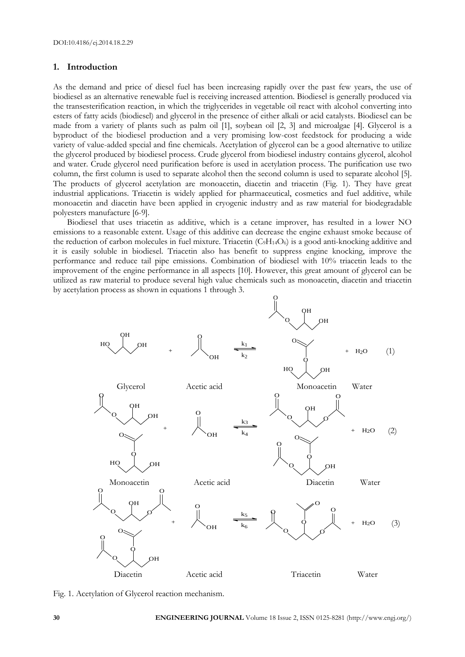# **1. Introduction**

As the demand and price of diesel fuel has been increasing rapidly over the past few years, the use of biodiesel as an alternative renewable fuel is receiving increased attention. Biodiesel is generally produced via the transesterification reaction, in which the triglycerides in vegetable oil react with alcohol converting into esters of fatty acids (biodiesel) and glycerol in the presence of either alkali or acid catalysts. Biodiesel can be made from a variety of plants such as palm oil [1], soybean oil [2, 3] and microalgae [4]. Glycerol is a byproduct of the biodiesel production and a very promising low-cost feedstock for producing a wide variety of value-added special and fine chemicals. Acetylation of glycerol can be a good alternative to utilize the glycerol produced by biodiesel process. Crude glycerol from biodiesel industry contains glycerol, alcohol and water. Crude glycerol need purification before is used in acetylation process. The purification use two column, the first column is used to separate alcohol then the second column is used to separate alcohol [5]. The products of glycerol acetylation are monoacetin, diacetin and triacetin (Fig. 1). They have great industrial applications. Triacetin is widely applied for pharmaceutical, cosmetics and fuel additive, while monoacetin and diacetin have been applied in cryogenic industry and as raw material for biodegradable polyesters manufacture [6-9].

Biodiesel that uses triacetin as additive, which is a cetane improver, has resulted in a lower NO emissions to a reasonable extent. Usage of this additive can decrease the engine exhaust smoke because of the reduction of carbon molecules in fuel mixture. Triacetin  $(C_9H_{14}O_6)$  is a good anti-knocking additive and it is easily soluble in biodiesel. Triacetin also has benefit to suppress engine knocking, improve the performance and reduce tail pipe emissions. Combination of biodiesel with 10% triacetin leads to the improvement of the engine performance in all aspects [10]. However, this great amount of glycerol can be by acetylation process as shown in equations 1 through 3.



Fig. 1. Acetylation of Glycerol reaction mechanism.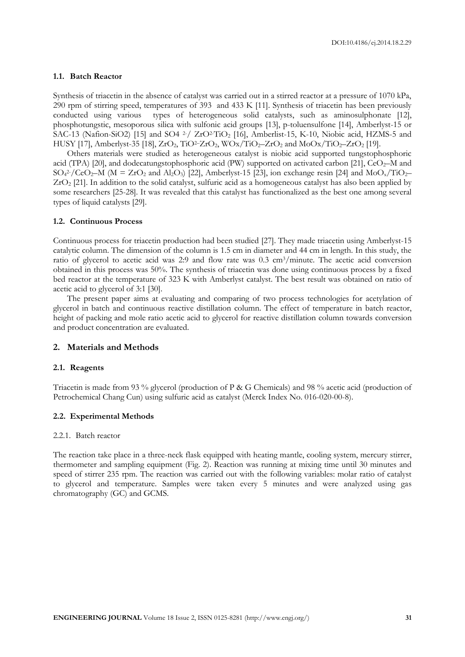### **1.1. Batch Reactor**

Synthesis of triacetin in the absence of catalyst was carried out in a stirred reactor at a pressure of 1070 kPa, 290 rpm of stirring speed, temperatures of 393 and 433 K [11]. Synthesis of triacetin has been previously conducted using various types of heterogeneous solid catalysts, such as aminosulphonate [12], phosphotungstic, mesoporous silica with sulfonic acid groups [13], p-toluensulfone [14], Amberlyst-15 or SAC-13 (Nafion-SiO2) [15] and SO4 <sup>2-</sup>/ ZrO<sup>2-</sup>TiO<sub>2</sub> [16], Amberlist-15, K-10, Niobic acid, HZMS-5 and HUSY [17], Amberlyst-35 [18],  $ZrO_2$ ,  $TiO^2-ZrO_2$ ,  $WOx/TiO_2-ZrO_2$  and  $MoOx/TiO_2-ZrO_2$  [19].

Others materials were studied as heterogeneous catalyst is niobic acid supported tungstophosphoric acid (TPA) [20], and dodecatungstophosphoric acid (PW) supported on activated carbon [21],  $CeO<sub>2</sub>$ –M and  $SO_4^2$ -/CeO<sub>2</sub>–M (M = ZrO<sub>2</sub> and Al<sub>2</sub>O<sub>3</sub>) [22], Amberlyst-15 [23], ion exchange resin [24] and MoO<sub>x</sub>/TiO<sub>2</sub>– ZrO<sup>2</sup> [21]. In addition to the solid catalyst, sulfuric acid as a homogeneous catalyst has also been applied by some researchers [25-28]. It was revealed that this catalyst has functionalized as the best one among several types of liquid catalysts [29].

# **1.2. Continuous Process**

Continuous process for triacetin production had been studied [27]. They made triacetin using Amberlyst-15 catalytic column. The dimension of the column is 1.5 cm in diameter and 44 cm in length. In this study, the ratio of glycerol to acetic acid was 2:9 and flow rate was 0.3 cm3/minute. The acetic acid conversion obtained in this process was 50%. The synthesis of triacetin was done using continuous process by a fixed bed reactor at the temperature of 323 K with Amberlyst catalyst. The best result was obtained on ratio of acetic acid to glycerol of 3:1 [30].

The present paper aims at evaluating and comparing of two process technologies for acetylation of glycerol in batch and continuous reactive distillation column. The effect of temperature in batch reactor, height of packing and mole ratio acetic acid to glycerol for reactive distillation column towards conversion and product concentration are evaluated.

# **2. Materials and Methods**

#### **2.1. Reagents**

Triacetin is made from 93 % glycerol (production of P & G Chemicals) and 98 % acetic acid (production of Petrochemical Chang Cun) using sulfuric acid as catalyst (Merck Index No. 016-020-00-8).

# **2.2. Experimental Methods**

#### 2.2.1. Batch reactor

The reaction take place in a three-neck flask equipped with heating mantle, cooling system, mercury stirrer, thermometer and sampling equipment (Fig. 2). Reaction was running at mixing time until 30 minutes and speed of stirrer 235 rpm. The reaction was carried out with the following variables: molar ratio of catalyst to glycerol and temperature. Samples were taken every 5 minutes and were analyzed using gas chromatography (GC) and GCMS.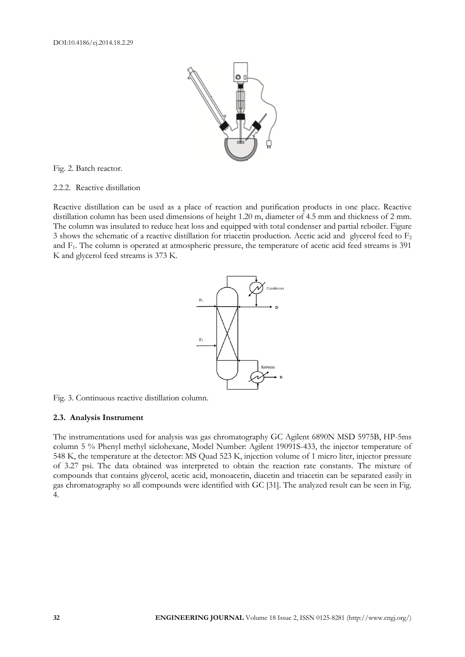

Fig. 2. Batch reactor.

#### 2.2.2. Reactive distillation

Reactive distillation can be used as a place of reaction and purification products in one place. Reactive distillation column has been used dimensions of height 1.20 m, diameter of 4.5 mm and thickness of 2 mm. The column was insulated to reduce heat loss and equipped with total condenser and partial reboiler. Figure 3 shows the schematic of a reactive distillation for triacetin production. Acetic acid and glycerol feed to F<sup>2</sup> and F1. The column is operated at atmospheric pressure, the temperature of acetic acid feed streams is 391 K and glycerol feed streams is 373 K.



Fig. 3. Continuous reactive distillation column.

#### **2.3. Analysis Instrument**

The instrumentations used for analysis was gas chromatography GC Agilent 6890N MSD 5975B, HP-5ms column 5 % Phenyl methyl siclohexane, Model Number: Agilent 19091S-433, the injector temperature of 548 K, the temperature at the detector: MS Quad 523 K, injection volume of 1 micro liter, injector pressure of 3.27 psi. The data obtained was interpreted to obtain the reaction rate constants. The mixture of compounds that contains glycerol, acetic acid, monoacetin, diacetin and triacetin can be separated easily in gas chromatography so all compounds were identified with GC [31]. The analyzed result can be seen in Fig. 4.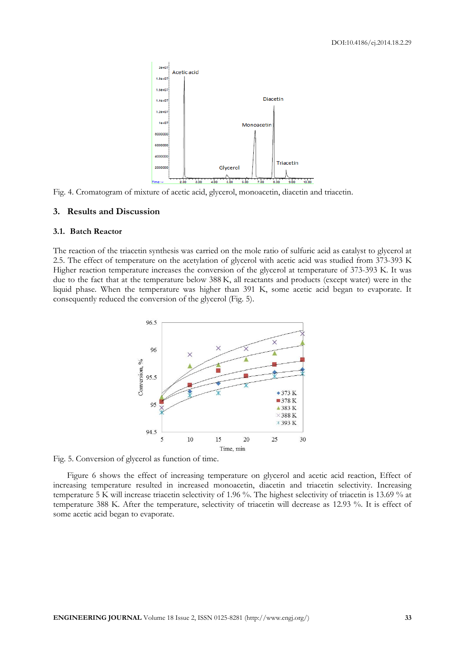

Fig. 4. Cromatogram of mixture of acetic acid, glycerol, monoacetin, diacetin and triacetin.

#### **3. Results and Discussion**

#### **3.1. Batch Reactor**

The reaction of the triacetin synthesis was carried on the mole ratio of sulfuric acid as catalyst to glycerol at 2.5. The effect of temperature on the acetylation of glycerol with acetic acid was studied from 373-393 K Higher reaction temperature increases the conversion of the glycerol at temperature of 373-393 K. It was due to the fact that at the temperature below 388 K, all reactants and products (except water) were in the liquid phase. When the temperature was higher than 391 K, some acetic acid began to evaporate. It consequently reduced the conversion of the glycerol (Fig. 5).



Fig. 5. Conversion of glycerol as function of time.

Figure 6 shows the effect of increasing temperature on glycerol and acetic acid reaction, Effect of increasing temperature resulted in increased monoacetin, diacetin and triacetin selectivity. Increasing temperature 5 K will increase triacetin selectivity of 1.96 %. The highest selectivity of triacetin is 13.69 % at temperature 388 K. After the temperature, selectivity of triacetin will decrease as 12.93 %. It is effect of some acetic acid began to evaporate.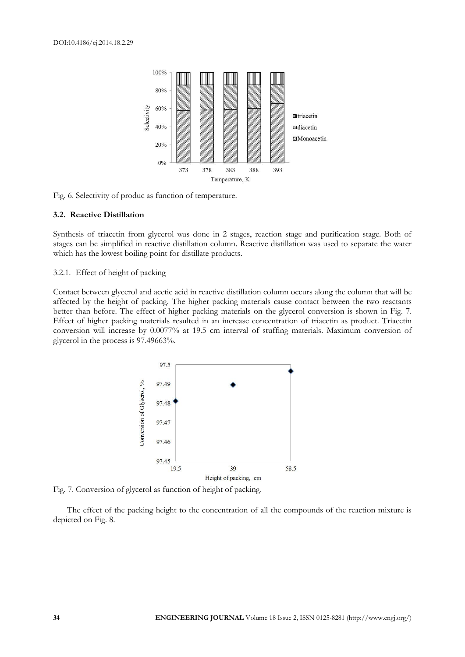

Fig. 6. Selectivity of produc as function of temperature.

#### **3.2. Reactive Distillation**

Synthesis of triacetin from glycerol was done in 2 stages, reaction stage and purification stage. Both of stages can be simplified in reactive distillation column. Reactive distillation was used to separate the water which has the lowest boiling point for distillate products.

#### 3.2.1. Effect of height of packing

Contact between glycerol and acetic acid in reactive distillation column occurs along the column that will be affected by the height of packing. The higher packing materials cause contact between the two reactants better than before. The effect of higher packing materials on the glycerol conversion is shown in Fig. 7. Effect of higher packing materials resulted in an increase concentration of triacetin as product. Triacetin conversion will increase by 0.0077% at 19.5 cm interval of stuffing materials. Maximum conversion of glycerol in the process is 97.49663%.



Fig. 7. Conversion of glycerol as function of height of packing.

The effect of the packing height to the concentration of all the compounds of the reaction mixture is depicted on Fig. 8.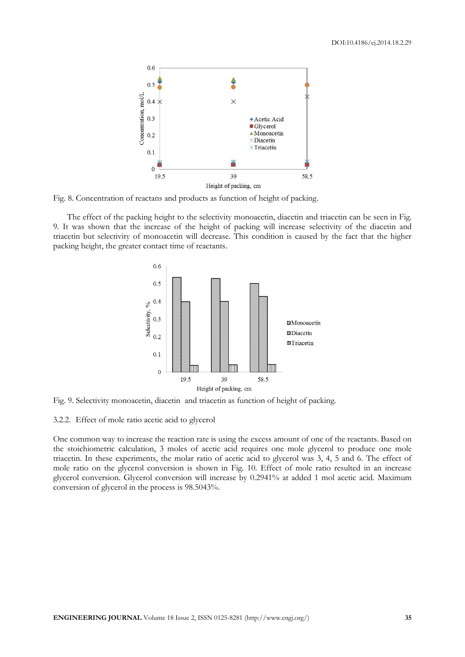

Fig. 8. Concentration of reactans and products as function of height of packing.

The effect of the packing height to the selectivity monoacetin, diacetin and triacetin can be seen in Fig. 9. It was shown that the increase of the height of packing will increase selectivity of the diacetin and triacetin but selectivity of monoacetin will decrease. This condition is caused by the fact that the higher packing height, the greater contact time of reactants.



Fig. 9. Selectivity monoacetin, diacetin and triacetin as function of height of packing.

3.2.2. Effect of mole ratio acetic acid to glycerol

One common way to increase the reaction rate is using the excess amount of one of the reactants. Based on the stoichiometric calculation, 3 moles of acetic acid requires one mole glycerol to produce one mole triacetin. In these experiments, the molar ratio of acetic acid to glycerol was 3, 4, 5 and 6. The effect of mole ratio on the glycerol conversion is shown in Fig. 10. Effect of mole ratio resulted in an increase glycerol conversion. Glycerol conversion will increase by 0.2941% at added 1 mol acetic acid. Maximum conversion of glycerol in the process is 98.5043%.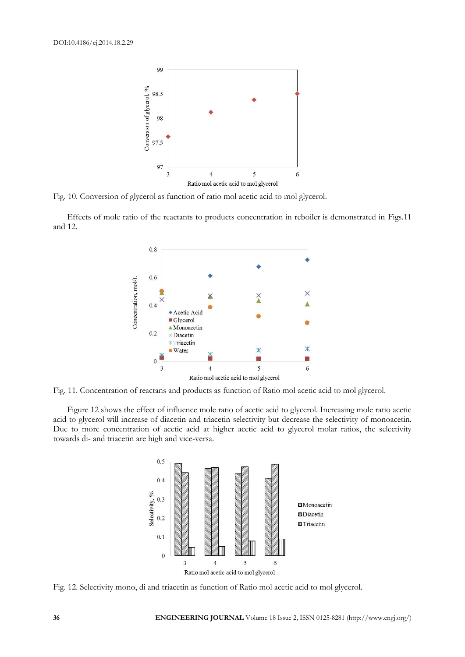

Fig. 10. Conversion of glycerol as function of ratio mol acetic acid to mol glycerol.

Effects of mole ratio of the reactants to products concentration in reboiler is demonstrated in Figs.11 and 12.



Fig. 11. Concentration of reactans and products as function of Ratio mol acetic acid to mol glycerol.

Figure 12 shows the effect of influence mole ratio of acetic acid to glycerol. Increasing mole ratio acetic acid to glycerol will increase of diacetin and triacetin selectivity but decrease the selectivity of monoacetin. Due to more concentration of acetic acid at higher acetic acid to glycerol molar ratios, the selectivity towards di- and triacetin are high and vice-versa.



Fig. 12. Selectivity mono, di and triacetin as function of Ratio mol acetic acid to mol glycerol.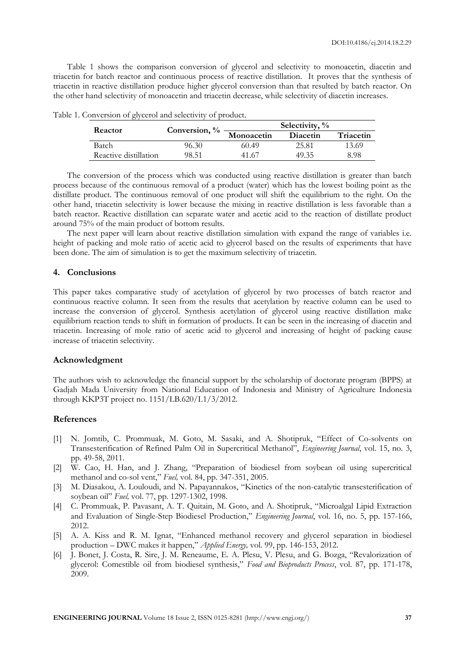Table 1 shows the comparison conversion of glycerol and selectivity to monoacetin, diacetin and triacetin for batch reactor and continuous process of reactive distillation. It proves that the synthesis of triacetin in reactive distillation produce higher glycerol conversion than that resulted by batch reactor. On the other hand selectivity of monoacetin and triacetin decrease, while selectivity of diacetin increases.

| Reactor               | Conversion, % | Selectivity, % |          |           |
|-----------------------|---------------|----------------|----------|-----------|
|                       |               | Monoacetin     | Diacetin | Triacetin |
| Batch                 | 96.30         | 60.49          | 25.81    | 13.69     |
| Reactive distillation | 98.51         | 41.67          | 49.35    | 8 98      |

Table 1. Conversion of glycerol and selectivity of product.

The conversion of the process which was conducted using reactive distillation is greater than batch process because of the continuous removal of a product (water) which has the lowest boiling point as the distillate product. The continuous removal of one product will shift the equilibrium to the right. On the other hand, triacetin selectivity is lower because the mixing in reactive distillation is less favorable than a batch reactor. Reactive distillation can separate water and acetic acid to the reaction of distillate product around 75% of the main product of bottom results.

The next paper will learn about reactive distillation simulation with expand the range of variables i.e. height of packing and mole ratio of acetic acid to glycerol based on the results of experiments that have been done. The aim of simulation is to get the maximum selectivity of triacetin.

# **4. Conclusions**

This paper takes comparative study of acetylation of glycerol by two processes of batch reactor and continuous reactive column. It seen from the results that acetylation by reactive column can be used to increase the conversion of glycerol. Synthesis acetylation of glycerol using reactive distillation make equilibrium reaction tends to shift in formation of products. It can be seen in the increasing of diacetin and triacetin. Increasing of mole ratio of acetic acid to glycerol and increasing of height of packing cause increase of triacetin selectivity.

# **Acknowledgment**

The authors wish to acknowledge the financial support by the scholarship of doctorate program (BPPS) at Gadjah Mada University from National Education of Indonesia and Ministry of Agriculture Indonesia through KKP3T project no. 1151/LB.620/I.1/3/2012.

# **References**

- [1] N. Jomtib, C. Prommuak, M. Goto, M. Sasaki, and A. Shotipruk, "Effect of Co-solvents on Transesterification of Refined Palm Oil in Supercritical Methanol", *Engineering Journal*, vol. 15, no. 3, pp. 49-58, 2011.
- [2] W. Cao, H. Han, and J. Zhang, "Preparation of biodiesel from soybean oil using supercritical methanol and co-sol vent," *Fuel,* vol. 84, pp. 347-351, 2005.
- [3] M. Diasakou, A. Louloudi, and N. Papayannakos, "Kinetics of the non-catalytic transesterification of soybean oil" *Fuel,* vol. 77, pp. 1297-1302, 1998.
- [4] C. Prommuak, P. Pavasant, A. T. Quitain, M. Goto, and A. Shotipruk, "Microalgal Lipid Extraction and Evaluation of Single-Step Biodiesel Production," *Engineering Journal*, vol. 16, no. 5, pp. 157-166, 2012.
- [5] A. A. Kiss and R. M. Ignat, "Enhanced methanol recovery and glycerol separation in biodiesel production – DWC makes it happen," *Applied Energy,* vol. 99, pp. 146-153, 2012.
- [6] J. Bonet, J. Costa, R. Sire, J. M. Reneaume, E. A. Plesu, V. Plesu, and G. Bozga, "Revalorization of glycerol: Comestible oil from biodiesel synthesis," *Food and Bioproducts Process*, vol. 87, pp. 171-178, 2009.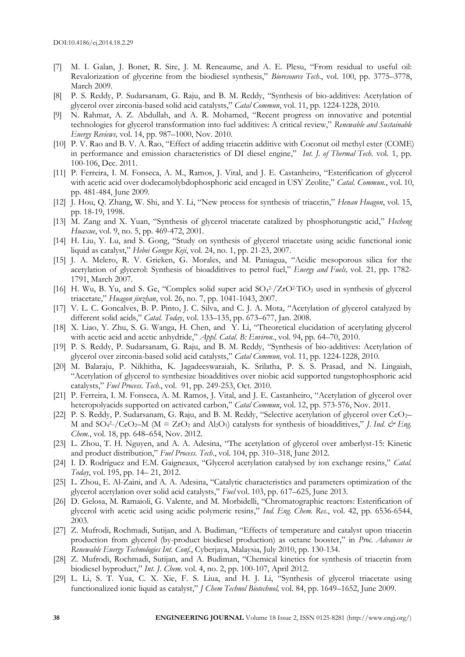- [7] M. I. Galan, J. Bonet, R. Sire, J. M. Reneaume, and A. E. Plesu, "From residual to useful oil: Revalorization of glycerine from the biodiesel synthesis," *Bioresource Tech*., vol. 100, pp. 3775–3778, March 2009.
- [8] P. S. Reddy, P. Sudarsanam, G. Raju, and B. M. Reddy, "Synthesis of bio-additives: Acetylation of glycerol over zirconia-based solid acid catalysts," *Catal Commun*, vol. 11, pp. 1224-1228, 2010.
- [9] N. Rahmat, A. Z. Abdullah, and A. R. Mohamed, "Recent progress on innovative and potential technologies for glycerol transformation into fuel additives: A critical review," *Renewable and Sustainable Energy Reviews,* vol. 14, pp. 987–1000, Nov. 2010.
- [10] P. V. Rao and B. V. A. Rao, "Effect of adding triacetin additive with Coconut oil methyl ester (COME) in performance and emission characteristics of DI diesel engine," *Int. J. of Thermal Tech*. vol. 1, pp. 100-106, Dec. 2011.
- [11] P. Ferreira, I. M. Fonseca, A. M., Ramos, J. Vital, and J. E. Castanheiro, "Esterification of glycerol with acetic acid over dodecamolybdophosphoric acid encaged in USY Zeolite," *Catal. Commun.*, vol. 10, pp. 481-484, June 2009.
- [12] J. Hou, Q. Zhang, W. Shi, and Y. Li, "New process for synthesis of triacetin," *Henan Huagon*, vol. 15, pp. 18-19, 1998.
- [13] M. Zang and X. Yuan, "Synthesis of glycerol triacetate catalized by phosphotungstic acid," *Hecheng Huaxue*, vol. 9, no. 5, pp. 469-472, 2001.
- [14] H. Liu, Y. Lu, and S. Gong, "Study on synthesis of glycerol triacetate using acidic functional ionic liquid as catalyst," *Hebei Gongye Keji*, vol. 24, no. 1, pp. 21-23, 2007.
- [15] J. A. Melero, R. V. Grieken, G. Morales, and M. Paniagua, "Acidic mesoporous silica for the acetylation of glycerol: Synthesis of bioadditives to petrol fuel," *Energy and Fuels,* vol. 21*,* pp. 1782- 1791, March 2007.
- [16] H. Wu, B. Yu, and S. Ge, "Complex solid super acid  $SO_4^2$  /ZrO<sup>2</sup>TiO<sub>2</sub> used in synthesis of glycerol triacetate," *Huagon jinzhan*, vol. 26, no. 7, pp. 1041-1043, 2007.
- [17] V. L. C. Goncalves, B. P. Pinto, J. C. Silva, and C. J. A. Mota, "Acetylation of glycerol catalyzed by different solid acids," *Catal. Today*, vol. 133–135, pp. 673–677, Jan. 2008.
- [18] X. Liao, Y. Zhu, S. G. Wanga, H. Chen, and Y. Li, "Theoretical elucidation of acetylating glycerol with acetic acid and acetic anhydride," *Appl. Catal. B: Environ*., vol. 94, pp. 64–70, 2010.
- [19] P. S. Reddy, P. Sudarsanam, G. Raju, and B. M. Reddy, "Synthesis of bio-additives: Acetylation of glycerol over zirconia-based solid acid catalysts," *Catal Commun,* vol. 11, pp. 1224-1228, 2010.
- [20] M. Balaraju, P. Nikhitha, K. Jagadeeswaraiah, K. Srilatha, P. S. S. Prasad, and N. Lingaiah, "Acetylation of glycerol to synthesize bioadditives over niobic acid supported tungstophosphoric acid catalysts," *Fuel Process. Tech*., vol. 91, pp. 249-253, Oct. 2010.
- [21] P. Ferreira, I. M. Fonseca, A. M. Ramos, J. Vital, and J. E. Castanheiro, "Acetylation of glycerol over heteropolyacids supported on activated carbon," *Catal Commun*, vol. 12, pp. 573-576, Nov. 2011.
- [22] P. S. Reddy, P. Sudarsanam, G. Raju, and B. M. Reddy, "Selective acetylation of glycerol over CeO2– M and SO<sub>4</sub><sup>2</sup>-/CeO<sub>2</sub>-M (M = ZrO<sub>2</sub> and Al<sub>2</sub>O<sub>3</sub>) catalysts for synthesis of bioadditives," *J. Ind. & Eng. Chem.*, vol. 18, pp. 648–654, Nov. 2012.
- [23] L. Zhou, T. H. Nguyen, and A. A. Adesina, "The acetylation of glycerol over amberlyst-15: Kinetic and product distribution," *Fuel Process. Tech*., vol. 104, pp. 310–318, June 2012.
- [24] I. D. Rodríguez and E.M. Gaigneaux, "Glycerol acetylation catalysed by ion exchange resins," *Catal. Today*, vol. 195, pp. 14– 21, 2012.
- [25] L. Zhou, E. Al-Zaini, and A. A. Adesina, "Catalytic characteristics and parameters optimization of the glycerol acetylation over solid acid catalysts," *Fuel* vol. 103, pp. 617–625, June 2013.
- [26] D. Gelosa, M. Ramaioli, G. Valente, and M. Morbidelli, "Chromatographic reactors: Esterification of glycerol with acetic acid using acidic polymeric resins," *Ind. Eng. Chem. Res*., vol. 42, pp. 6536-6544, 2003.
- [27] Z. Mufrodi, Rochmadi, Sutijan, and A. Budiman, "Effects of temperature and catalyst upon triacetin production from glycerol (by-product biodiesel production) as octane booster," in *Proc. Advances in Renewable Energy Technologies Int. Conf.*, Cyberjaya, Malaysia, July 2010, pp. 130-134.
- [28] Z. Mufrodi, Rochmadi, Sutijan, and A. Budiman, "Chemical kinetics for synthesis of triacetin from biodiesel byproduct," *Int. J. Chem.* vol. 4, no. 2, pp. 100-107, April 2012.
- [29] L. Li, S. T. Yua, C. X. Xie, F. S. Liua, and H. J. Li, "Synthesis of glycerol triacetate using functionalized ionic liquid as catalyst," *J Chem Technol Biotechnol,* vol. 84, pp. 1649–1652, June 2009.